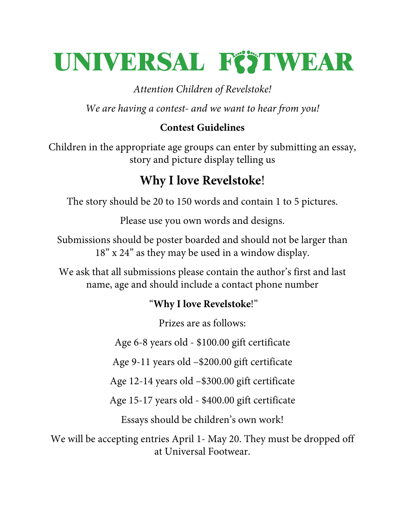# UNIVERSAL FÖTWEAR

*Attention Children of Revelstoke!*

*We are having a contest- and we want to hear from you!*

### **Contest Guidelines**

Children in the appropriate age groups can enter by submitting an essay, story and picture display telling us

## **Why I love Revelstoke**!

The story should be 20 to 150 words and contain 1 to 5 pictures.

Please use you own words and designs.

Submissions should be poster boarded and should not be larger than 18" x 24" as they may be used in a window display.

We ask that all submissions please contain the author's first and last name, age and should include a contact phone number

#### "**Why I love Revelstoke**!"

Prizes are as follows:

Age 6-8 years old - \$100.00 gift certificate

Age 9-11 years old –\$200.00 gift certificate

Age 12-14 years old –\$300.00 gift certificate

Age 15-17 years old - \$400.00 gift certificate

Essays should be children's own work!

We will be accepting entries April 1- May 20. They must be dropped off at Universal Footwear.